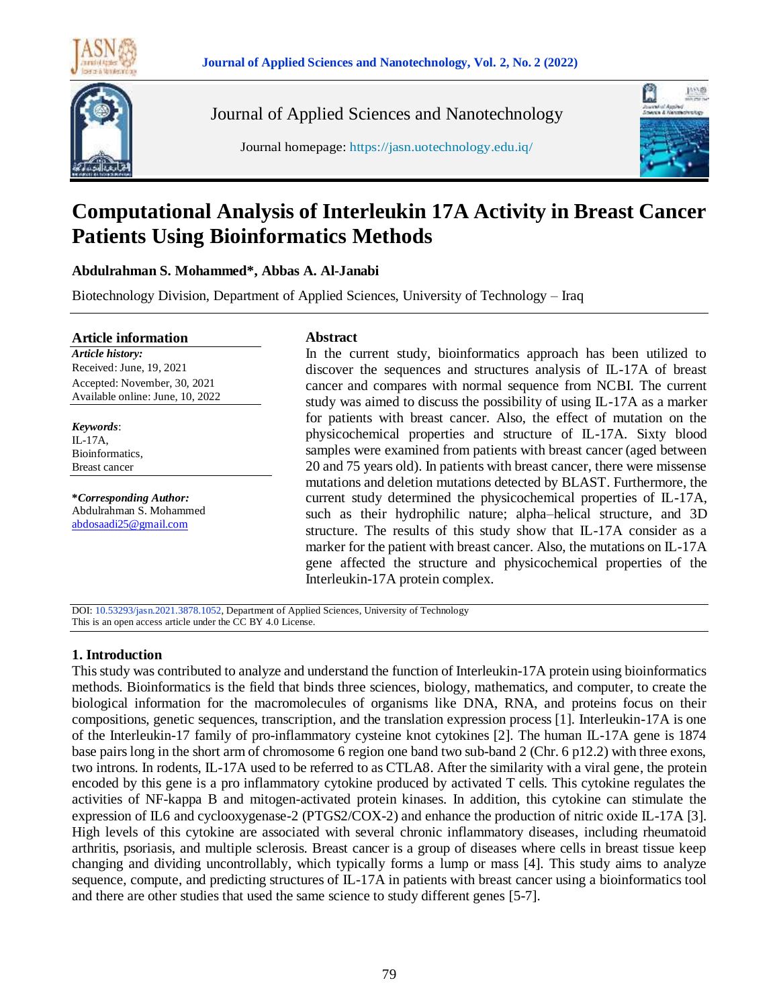



Journal of Applied Sciences and Nanotechnology





# **Computational Analysis of Interleukin 17A Activity in Breast Cancer Patients Using Bioinformatics Methods**

# **Abdulrahman S. Mohammed\*, Abbas A. Al-Janabi**

Biotechnology Division, Department of Applied Sciences, University of Technology – Iraq

#### **Article information**

*Article history:* Received: June, 19, 2021 Accepted: November, 30, 2021 Available online: June, 10, 2022

*Keywords*: IL-17A, Bioinformatics, Breast cancer

**\****Corresponding Author:* Abdulrahman S. Mohammed [abdosaadi25@gmail.com](mailto:abdosaadi25@gmail.com)

## **Abstract**

In the current study, bioinformatics approach has been utilized to discover the sequences and structures analysis of IL-17A of breast cancer and compares with normal sequence from NCBI. The current study was aimed to discuss the possibility of using IL-17A as a marker for patients with breast cancer. Also, the effect of mutation on the physicochemical properties and structure of IL-17A. Sixty blood samples were examined from patients with breast cancer (aged between 20 and 75 years old). In patients with breast cancer, there were missense mutations and deletion mutations detected by BLAST. Furthermore, the current study determined the physicochemical properties of IL-17A, such as their hydrophilic nature; alpha–helical structure, and 3D structure. The results of this study show that IL-17A consider as a marker for the patient with breast cancer. Also, the mutations on IL-17A gene affected the structure and physicochemical properties of the Interleukin-17A protein complex.

DOI: 10.53293/jasn.2021.3878.1052, Department of Applied Sciences, University of Technology This is an open access article under the CC BY 4.0 License.

#### **1. Introduction**

This study was contributed to analyze and understand the function of Interleukin-17A protein using bioinformatics methods. Bioinformatics is the field that binds three sciences, biology, mathematics, and computer, to create the biological information for the macromolecules of organisms like DNA, RNA, and proteins focus on their compositions, genetic sequences, transcription, and the translation expression process [1]. Interleukin-17A is one of the Interleukin-17 family of pro-inflammatory cysteine knot cytokines [2]. The human IL-17A gene is 1874 base pairs long in the short arm of chromosome 6 region one band two sub-band 2 (Chr. 6 p12.2) with three exons, two introns. In rodents, IL-17A used to be referred to as CTLA8. After the similarity with a viral gene, the protein encoded by this gene is a pro inflammatory cytokine produced by activated T cells. This cytokine regulates the activities of NF-kappa B and mitogen-activated protein kinases. In addition, this cytokine can stimulate the expression of IL6 and cyclooxygenase-2 (PTGS2/COX-2) and enhance the production of nitric oxide IL-17A [3]. High levels of this cytokine are associated with several chronic inflammatory diseases, including rheumatoid arthritis, psoriasis, and multiple sclerosis. Breast cancer is a group of diseases where cells in breast tissue keep changing and dividing uncontrollably, which typically forms a lump or mass [4]. This study aims to analyze sequence, compute, and predicting structures of IL-17A in patients with breast cancer using a bioinformatics tool and there are other studies that used the same science to study different genes [5-7].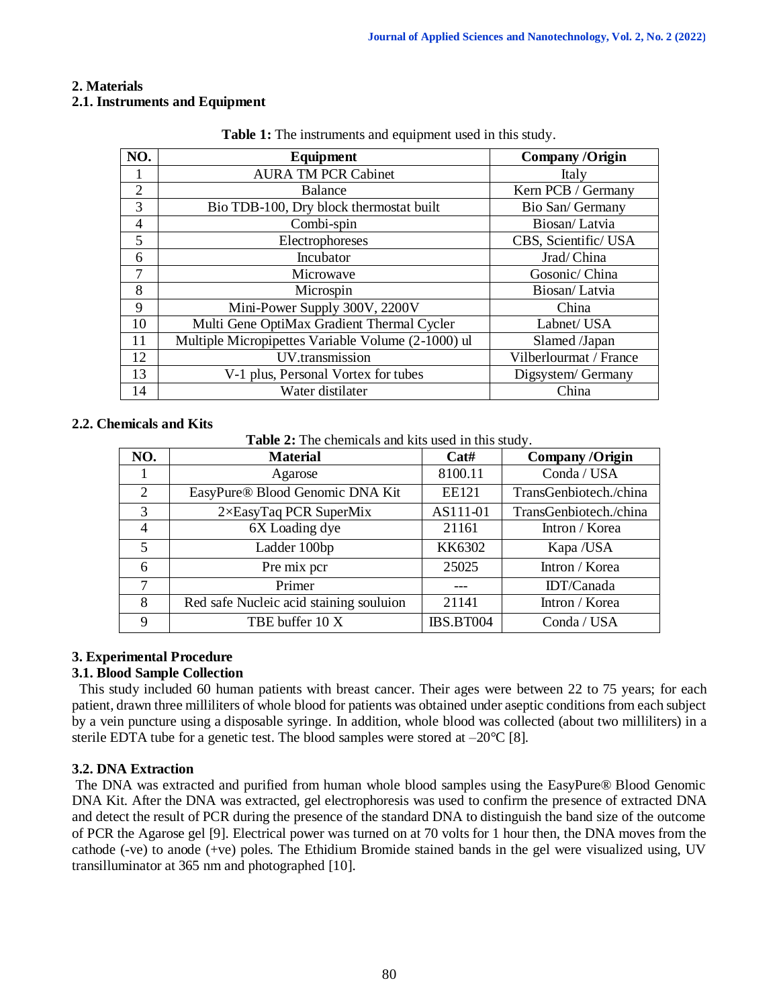# **2. Materials**

## **2.1. Instruments and Equipment**

| NO.            | Equipment                                          | <b>Company/Origin</b>  |  |  |
|----------------|----------------------------------------------------|------------------------|--|--|
| Ι.             | <b>AURA TM PCR Cabinet</b>                         | Italy                  |  |  |
| $\overline{2}$ | <b>Balance</b>                                     | Kern PCB / Germany     |  |  |
| 3              | Bio TDB-100, Dry block thermostat built            | Bio San/ Germany       |  |  |
| 4              | Combi-spin                                         | Biosan/Latvia          |  |  |
| 5              | Electrophoreses                                    | CBS, Scientific/USA    |  |  |
| 6              | Incubator                                          | Jrad/China             |  |  |
| 7              | Microwave                                          | Gosonic/ China         |  |  |
| 8              | Microspin                                          | Biosan/Latvia          |  |  |
| 9              | Mini-Power Supply 300V, 2200V                      | China                  |  |  |
| 10             | Multi Gene OptiMax Gradient Thermal Cycler         | Labnet/ USA            |  |  |
| 11             | Multiple Micropipettes Variable Volume (2-1000) ul | Slamed /Japan          |  |  |
| 12             | UV.transmission                                    | Vilberlourmat / France |  |  |
| 13             | V-1 plus, Personal Vortex for tubes                | Digsystem/ Germany     |  |  |
| 14             | Water distilater                                   | China                  |  |  |

**Table 1:** The instruments and equipment used in this study.

## **2.2. Chemicals and Kits**

**Table 2:** The chemicals and kits used in this study.

| NO.            | <b>Material</b>                         | Cat#             | <b>Company/Origin</b>  |  |
|----------------|-----------------------------------------|------------------|------------------------|--|
|                | Agarose                                 | 8100.11          | Conda / USA            |  |
| $\overline{2}$ | EasyPure® Blood Genomic DNA Kit         | <b>EE121</b>     | TransGenbiotech./china |  |
| 3              | $2 \times$ EasyTaq PCR SuperMix         | AS111-01         | TransGenbiotech./china |  |
| $\overline{4}$ | 6X Loading dye                          | 21161            | Intron / Korea         |  |
| 5              | Ladder 100bp                            | KK6302           | Kapa /USA              |  |
| 6              | Pre mix pcr                             | 25025            | Intron / Korea         |  |
| 7              | Primer                                  |                  | IDT/Canada             |  |
| 8              | Red safe Nucleic acid staining souluion | 21141            | Intron / Korea         |  |
| 9              | TBE buffer 10 X                         | <b>IBS.BT004</b> | Conda / USA            |  |

# **3. Experimental Procedure**

# **3.1. Blood Sample Collection**

 This study included 60 human patients with breast cancer. Their ages were between 22 to 75 years; for each patient, drawn three milliliters of whole blood for patients was obtained under aseptic conditions from each subject by a vein puncture using a disposable syringe. In addition, whole blood was collected (about two milliliters) in a sterile EDTA tube for a genetic test. The blood samples were stored at  $-20^{\circ}$ C [8].

# **3.2. DNA Extraction**

The DNA was extracted and purified from human whole blood samples using the EasyPure® Blood Genomic DNA Kit. After the DNA was extracted, gel electrophoresis was used to confirm the presence of extracted DNA and detect the result of PCR during the presence of the standard DNA to distinguish the band size of the outcome of PCR the Agarose gel [9]. Electrical power was turned on at 70 volts for 1 hour then, the DNA moves from the cathode (-ve) to anode (+ve) poles. The Ethidium Bromide stained bands in the gel were visualized using, UV transilluminator at 365 nm and photographed [10].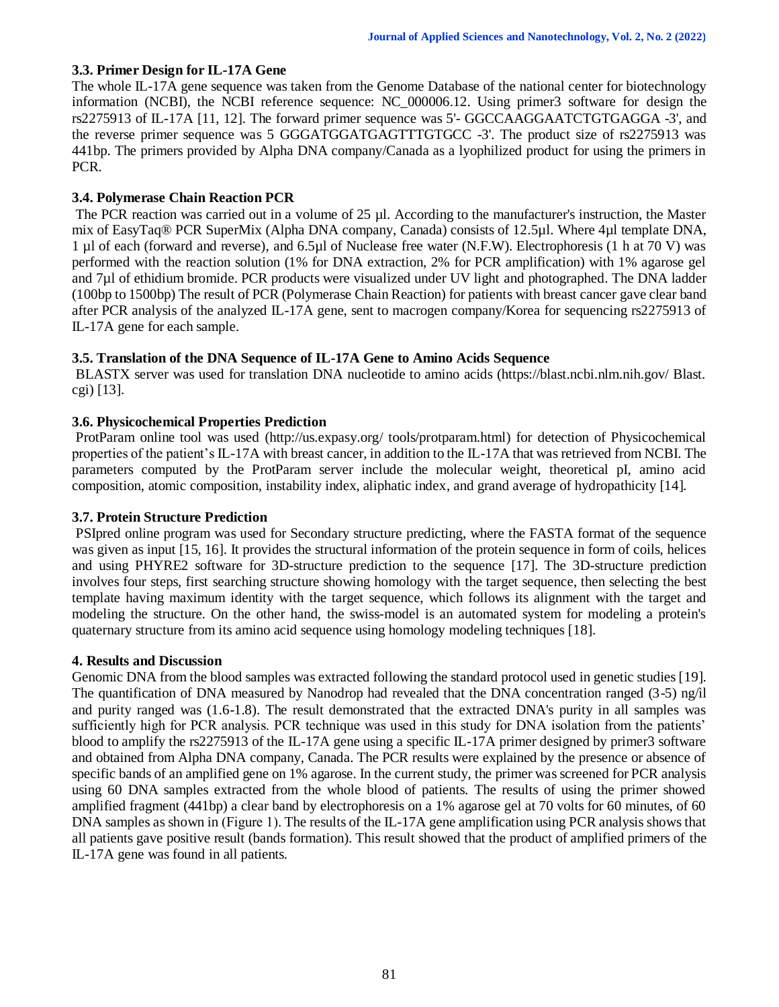# **3.3. Primer Design for IL-17A Gene**

The whole IL-17A gene sequence was taken from the Genome Database of the national center for biotechnology information (NCBI), the NCBI reference sequence: NC\_000006.12. Using primer3 software for design the rs2275913 of IL-17A [11, 12]. The forward primer sequence was 5'- GGCCAAGGAATCTGTGAGGA -3', and the reverse primer sequence was 5 GGGATGGATGAGTTTGTGCC -3'. The product size of rs2275913 was 441bp. The primers provided by Alpha DNA company/Canada as a lyophilized product for using the primers in PCR.

# **3.4. Polymerase Chain Reaction PCR**

The PCR reaction was carried out in a volume of 25 µl. According to the manufacturer's instruction, the Master mix of EasyTaq® PCR SuperMix (Alpha DNA company, Canada) consists of 12.5µl. Where 4µl template DNA, 1 µl of each (forward and reverse), and 6.5µl of Nuclease free water (N.F.W). Electrophoresis (1 h at 70 V) was performed with the reaction solution (1% for DNA extraction, 2% for PCR amplification) with 1% agarose gel and 7µl of ethidium bromide. PCR products were visualized under UV light and photographed. The DNA ladder (100bp to 1500bp) The result of PCR (Polymerase Chain Reaction) for patients with breast cancer gave clear band after PCR analysis of the analyzed IL-17A gene, sent to macrogen company/Korea for sequencing rs2275913 of IL-17A gene for each sample.

# **3.5. Translation of the DNA Sequence of IL-17A Gene to Amino Acids Sequence**

BLASTX server was used for translation DNA nucleotide to amino acids (https://blast.ncbi.nlm.nih.gov/ Blast. cgi) [13].

# **3.6. Physicochemical Properties Prediction**

ProtParam online tool was used (http://us.expasy.org/ tools/protparam.html) for detection of Physicochemical properties of the patient's IL-17A with breast cancer, in addition to the IL-17A that was retrieved from NCBI. The parameters computed by the ProtParam server include the molecular weight, theoretical pI, amino acid composition, atomic composition, instability index, aliphatic index, and grand average of hydropathicity [14].

# **3.7. Protein Structure Prediction**

PSIpred online program was used for Secondary structure predicting, where the FASTA format of the sequence was given as input [15, 16]. It provides the structural information of the protein sequence in form of coils, helices and using PHYRE2 software for 3D-structure prediction to the sequence [17]. The 3D-structure prediction involves four steps, first searching structure showing homology with the target sequence, then selecting the best template having maximum identity with the target sequence, which follows its alignment with the target and modeling the structure. On the other hand, the swiss-model is an automated system for modeling a protein's quaternary structure from its amino acid sequence using homology modeling techniques [18].

# **4. Results and Discussion**

Genomic DNA from the blood samples was extracted following the standard protocol used in genetic studies [19]. The quantification of DNA measured by Nanodrop had revealed that the DNA concentration ranged (3-5) ng/ìl and purity ranged was (1.6-1.8). The result demonstrated that the extracted DNA's purity in all samples was sufficiently high for PCR analysis. PCR technique was used in this study for DNA isolation from the patients' blood to amplify the rs2275913 of the IL-17A gene using a specific IL-17A primer designed by primer3 software and obtained from Alpha DNA company, Canada. The PCR results were explained by the presence or absence of specific bands of an amplified gene on 1% agarose. In the current study, the primer was screened for PCR analysis using 60 DNA samples extracted from the whole blood of patients. The results of using the primer showed amplified fragment (441bp) a clear band by electrophoresis on a 1% agarose gel at 70 volts for 60 minutes, of 60 DNA samples as shown in (Figure 1). The results of the IL-17A gene amplification using PCR analysis shows that all patients gave positive result (bands formation). This result showed that the product of amplified primers of the IL-17A gene was found in all patients.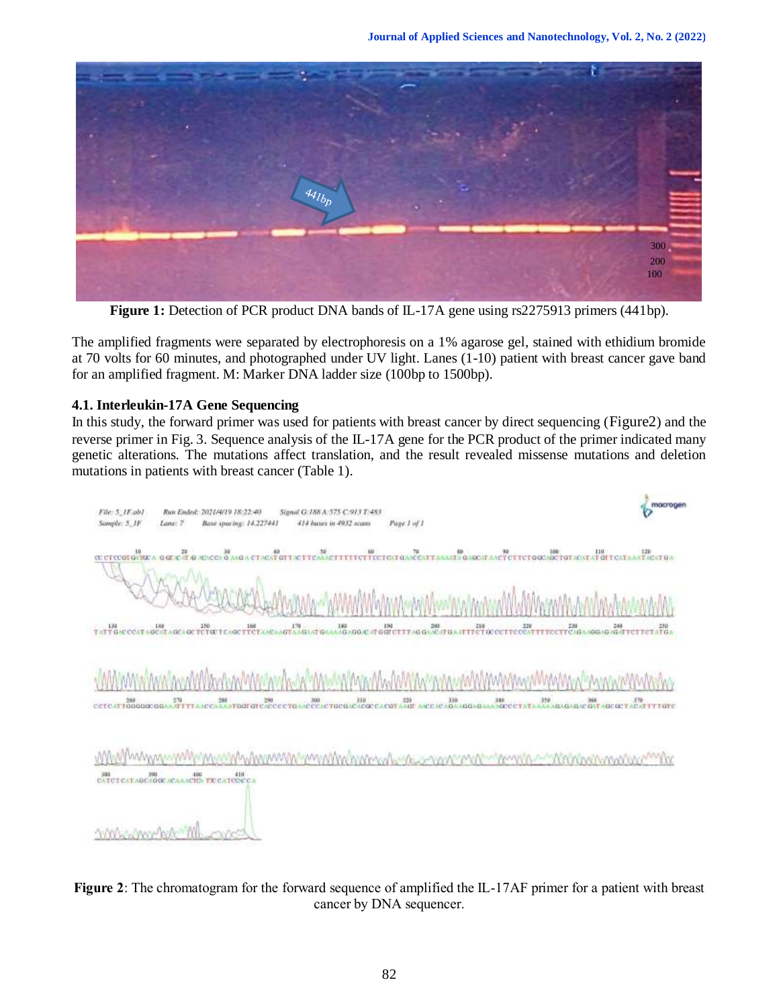

Figure 1: Detection of PCR product DNA bands of IL-17A gene using rs2275913 primers (441bp).

The amplified fragments were separated by electrophoresis on a 1% agarose gel, stained with ethidium bromide at 70 volts for 60 minutes, and photographed under UV light. Lanes (1-10) patient with breast cancer gave band for an amplified fragment. M: Marker DNA ladder size (100bp to 1500bp).

# **4.1. Interleukin-17A Gene Sequencing**

In this study, the forward primer was used for patients with breast cancer by direct sequencing (Figure2) and the reverse primer in Fig. 3. Sequence analysis of the IL-17A gene for the PCR product of the primer indicated many genetic alterations. The mutations affect translation, and the result revealed missense mutations and deletion mutations in patients with breast cancer (Table 1).

| macrogen<br>File: 5_IF ab1<br>Run Ended: 2021/4/19 18:22:40<br>Signal G:188 A:575 C:913 T:483<br>Sample: 5_IF<br>414 bases in 4932 scans<br>Lane: 7<br>Base spacing: 14.227441<br>Page 1 of 1                                                                                                                                    |  |
|----------------------------------------------------------------------------------------------------------------------------------------------------------------------------------------------------------------------------------------------------------------------------------------------------------------------------------|--|
| C CTCCGTGVECA G GE/CATALACCE G ANGA CTACAT OTTACTTCAAACCE<br>$\begin{tabular}{c c c c c} $0$ & $10$ & $10$ & $10$ & $10$ \\ \hline \end{tabular} \begin{tabular}{c} {\bf 0} & {\bf 0} & {\bf 10} & $10$ & $10$ & $10$ \\ \hline \end{tabular} \begin{tabular}{c} {\bf 0} & {\bf 0} & {\bf 0} & {\bf 10} & $10$ \\ \end{tabular}$ |  |
| LOS 150<br>CCATAGCATAGCAGE TCTOCTCAGE TECT<br>CCTTCCCATTE<br>280 280 280 280 291 270<br>130<br>Τü<br>ΤΛΤ<br>œ                                                                                                                                                                                                                    |  |
| $\frac{270}{1411}$<br>$30 - 400$<br>320<br>AAAADAGADA<br>288<br>290<br>310<br>曲<br>160<br>378<br>300<br>$340$<br>Andre<br><b>IC GAT AGE</b><br>taggaggan<br><b>MITTE</b><br>AC'AT<br><b>UNE CEL</b><br><b>PACOO</b><br>cere<br>CTOCO<br><b>TTTOTC</b>                                                                            |  |
| ENTERE SHOW HO TEGATES                                                                                                                                                                                                                                                                                                           |  |
|                                                                                                                                                                                                                                                                                                                                  |  |

**Figure 2**: The chromatogram for the forward sequence of amplified the IL-17AF primer for a patient with breast cancer by DNA sequencer.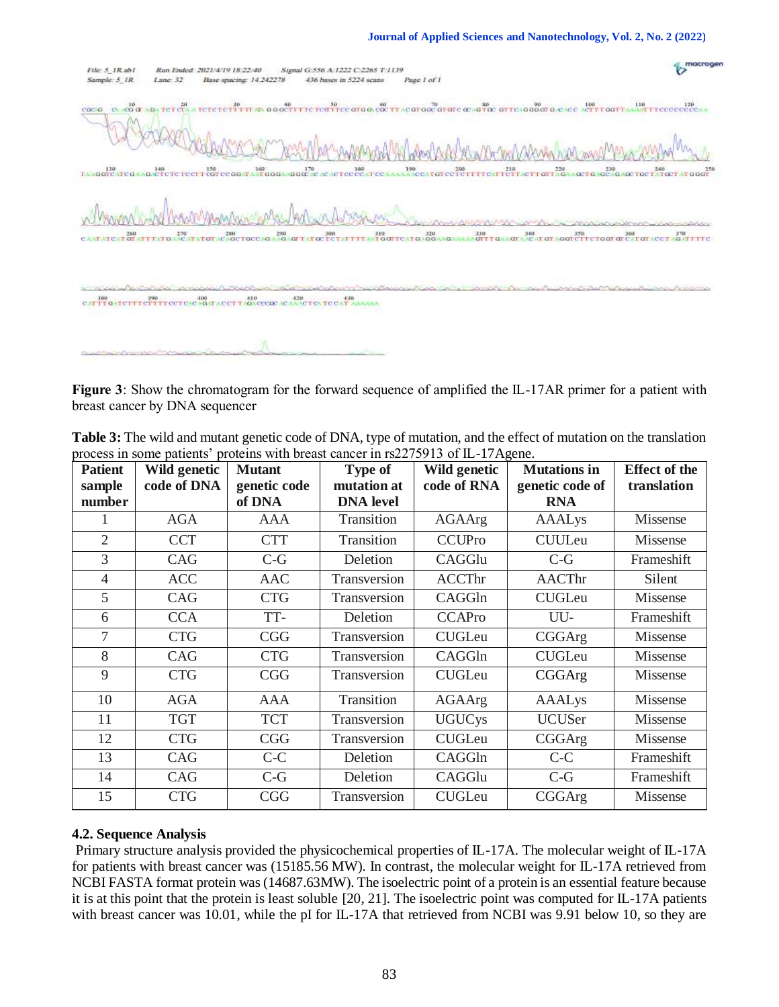#### **Journal of Applied Sciences and Nanotechnology, Vol. 2, No. 2 (2022)**

| File: 5_IR.ab1<br>Sample: 5_1R      | Lane: 32      | Run Ended: 2021/4/19 18:22:40<br>Base spacing: 14.242278 | Signal G:556 A:1222 C:2265 T:1139<br>436 bases in 5224 scans | Page 1 of 1                     |                                                         |                                                                                                                                                                                                                                          |
|-------------------------------------|---------------|----------------------------------------------------------|--------------------------------------------------------------|---------------------------------|---------------------------------------------------------|------------------------------------------------------------------------------------------------------------------------------------------------------------------------------------------------------------------------------------------|
| $10-$<br>COCIO<br>$C_1$ $+CG$ $C_2$ | TC 1<br>20.CZ |                                                          |                                                              |                                 |                                                         |                                                                                                                                                                                                                                          |
| TAAGGTCATCO                         |               |                                                          |                                                              |                                 |                                                         | 140<br>A GACTURE TO THE COLORAT AND CONTACT CONTACT A CONTACT CONTACT CONTACT TO THE TRANSPORT OF THE COLORAD TO THE THE THE COLORAD TO THE COLORAD TO THE THE COLORAD TO THE THE COLORAD TO THE THE COLORAD TO THE THE COLORAD T<br>250 |
| CAATATCATGE STTTATG                 | 270           | 280<br>ACAGCTGCCAG.<br><b>ATGIT</b>                      | 290 300<br>AAGAGI TATGC TCTAT                                | 310 320<br>TTTAJTGGTTCATGAGGAAG | $rac{330}{\text{GUT}}$<br>340<br>$\sqrt{15}$<br>$k = 1$ | 350.<br>360<br>370<br><b>AGAITITC</b><br>CATG<br>$C = C + T$<br>$-445$                                                                                                                                                                   |
| <b>CALL TO GA</b>                   | 3940          | 410<br>400<br>TUACAGATA UUT TAGA ODOGO.<br>æ             | 420.<br>4.30<br>TO TUCAT A<br>A.A.A.C                        |                                 |                                                         |                                                                                                                                                                                                                                          |
|                                     |               |                                                          |                                                              |                                 |                                                         |                                                                                                                                                                                                                                          |

**Figure 3**: Show the chromatogram for the forward sequence of amplified the IL-17AR primer for a patient with breast cancer by DNA sequencer

| <b>Patient</b> | Wild genetic | <b>Mutant</b> | <b>Type of</b>   | Wild genetic  | <b>Mutations in</b> | <b>Effect of the</b> |
|----------------|--------------|---------------|------------------|---------------|---------------------|----------------------|
| sample         | code of DNA  | genetic code  | mutation at      | code of RNA   | genetic code of     | translation          |
| number         |              | of DNA        | <b>DNA</b> level |               | <b>RNA</b>          |                      |
|                | <b>AGA</b>   | <b>AAA</b>    | Transition       | <b>AGAArg</b> | <b>AAALys</b>       | Missense             |
| $\overline{2}$ | <b>CCT</b>   | <b>CTT</b>    | Transition       | <b>CCUPro</b> | <b>CUULeu</b>       | Missense             |
| 3              | CAG          | $C-G$         | Deletion         | CAGGlu        | $C-G$               | Frameshift           |
| $\overline{4}$ | <b>ACC</b>   | <b>AAC</b>    | Transversion     | <b>ACCThr</b> | <b>AACThr</b>       | Silent               |
| 5              | CAG          | <b>CTG</b>    | Transversion     | CAGGIn        | <b>CUGLeu</b>       | Missense             |
| 6              | <b>CCA</b>   | TT-           | Deletion         | <b>CCAPro</b> | UU-                 | Frameshift           |
| 7              | <b>CTG</b>   | <b>CGG</b>    | Transversion     | <b>CUGLeu</b> | CGGArg              | Missense             |
| 8              | CAG          | <b>CTG</b>    | Transversion     | CAGGIn        | <b>CUGLeu</b>       | Missense             |
| 9              | <b>CTG</b>   | <b>CGG</b>    | Transversion     | <b>CUGLeu</b> | CGGArg              | Missense             |
| 10             | <b>AGA</b>   | <b>AAA</b>    | Transition       | <b>AGAArg</b> | <b>AAALys</b>       | Missense             |
| 11             | <b>TGT</b>   | <b>TCT</b>    | Transversion     | <b>UGUCys</b> | <b>UCUSer</b>       | Missense             |
| 12             | <b>CTG</b>   | <b>CGG</b>    | Transversion     | <b>CUGLeu</b> | CGGArg              | Missense             |
| 13             | CAG          | $C-C$         | Deletion         | CAGGIn        | $C-C$               | Frameshift           |
| 14             | CAG          | $C-G$         | Deletion         | CAGGlu        | $C-G$               | Frameshift           |
| 15             | <b>CTG</b>   | <b>CGG</b>    | Transversion     | <b>CUGLeu</b> | CGGArg              | Missense             |

**Table 3:** The wild and mutant genetic code of DNA, type of mutation, and the effect of mutation on the translation process in some patients' proteins with breast cancer in rs2275913 of IL-17Agene.

# **4.2. Sequence Analysis**

Primary structure analysis provided the physicochemical properties of IL-17A. The molecular weight of IL-17A for patients with breast cancer was (15185.56 MW). In contrast, the molecular weight for IL-17A retrieved from NCBI FASTA format protein was (14687.63MW). The isoelectric point of a protein is an essential feature because it is at this point that the protein is least soluble [20, 21]. The isoelectric point was computed for IL-17A patients with breast cancer was 10.01, while the pI for IL-17A that retrieved from NCBI was 9.91 below 10, so they are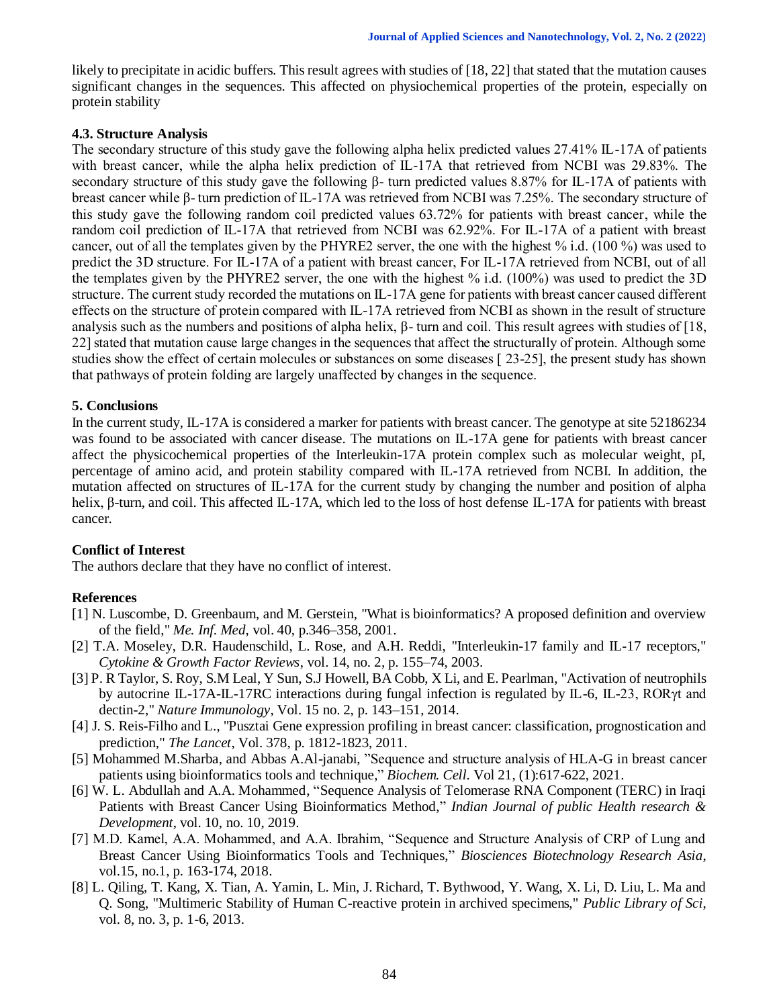likely to precipitate in acidic buffers. This result agrees with studies of [18, 22] that stated that the mutation causes significant changes in the sequences. This affected on physiochemical properties of the protein, especially on protein stability

## **4.3. Structure Analysis**

The secondary structure of this study gave the following alpha helix predicted values 27.41% IL-17A of patients with breast cancer, while the alpha helix prediction of IL-17A that retrieved from NCBI was 29.83%. The secondary structure of this study gave the following β- turn predicted values 8.87% for IL-17A of patients with breast cancer while β- turn prediction of IL-17A was retrieved from NCBI was 7.25%. The secondary structure of this study gave the following random coil predicted values 63.72% for patients with breast cancer, while the random coil prediction of IL-17A that retrieved from NCBI was 62.92%. For IL-17A of a patient with breast cancer, out of all the templates given by the PHYRE2 server, the one with the highest % i.d. (100 %) was used to predict the 3D structure. For IL-17A of a patient with breast cancer, For IL-17A retrieved from NCBI, out of all the templates given by the PHYRE2 server, the one with the highest % i.d. (100%) was used to predict the 3D structure. The current study recorded the mutations on IL-17A gene for patients with breast cancer caused different effects on the structure of protein compared with IL-17A retrieved from NCBI as shown in the result of structure analysis such as the numbers and positions of alpha helix,  $β$ - turn and coil. This result agrees with studies of [18, 22] stated that mutation cause large changes in the sequences that affect the structurally of protein. Although some studies show the effect of certain molecules or substances on some diseases [ 23-25], the present study has shown that pathways of protein folding are largely unaffected by changes in the sequence.

## **5. Conclusions**

In the current study, IL-17A is considered a marker for patients with breast cancer. The genotype at site 52186234 was found to be associated with cancer disease. The mutations on IL-17A gene for patients with breast cancer affect the physicochemical properties of the Interleukin-17A protein complex such as molecular weight, pI, percentage of amino acid, and protein stability compared with IL-17A retrieved from NCBI. In addition, the mutation affected on structures of IL-17A for the current study by changing the number and position of alpha helix, β-turn, and coil. This affected IL-17A, which led to the loss of host defense IL-17A for patients with breast cancer.

# **Conflict of Interest**

The authors declare that they have no conflict of interest.

# **References**

- [1] N. Luscombe, D. Greenbaum, and M. Gerstein, "What is bioinformatics? A proposed definition and overview of the field," *Me. Inf. Med*, vol. 40, p.346–358, 2001.
- [2] T.A. Moseley, D.R. Haudenschild, L. Rose, and A.H. Reddi, "Interleukin-17 family and IL-17 receptors," *Cytokine & Growth Factor Reviews*, vol. 14, no. 2, p. 155–74, 2003.
- [3] P. R Taylor, S. Roy, S.M Leal, Y Sun, S.J Howell, BA Cobb, X Li, and E. Pearlman, "Activation of neutrophils by autocrine IL-17A-IL-17RC interactions during fungal infection is regulated by IL-6, IL-23, RORγt and dectin-2," *Nature Immunology*, Vol. 15 no. 2, p. 143–151, 2014.
- [4] J. S. Reis-Filho and L., "Pusztai Gene expression profiling in breast cancer: classification, prognostication and prediction," *The Lancet*, Vol. 378, p. 1812-1823, 2011.
- [5] Mohammed M.Sharba, and Abbas A.Al-janabi, "Sequence and structure analysis of HLA-G in breast cancer patients using bioinformatics tools and technique," *Biochem. Cell*. Vol 21, (1):617-622, 2021.
- [6] W. L. Abdullah and A.A. Mohammed, "Sequence Analysis of Telomerase RNA Component (TERC) in Iraqi Patients with Breast Cancer Using Bioinformatics Method," *Indian Journal of public Health research & Development*, vol. 10, no. 10, 2019.
- [7] M.D. Kamel, A.A. Mohammed, and A.A. Ibrahim, "Sequence and Structure Analysis of CRP of Lung and Breast Cancer Using Bioinformatics Tools and Techniques," *Biosciences Biotechnology Research Asia*, vol.15, no.1, p. 163-174, 2018.
- [8] L. Qiling, T. Kang, X. Tian, A. Yamin, L. Min, J. Richard, T. Bythwood, Y. Wang, X. Li, D. Liu, L. Ma and Q. Song, "Multimeric Stability of Human C-reactive protein in archived specimens," *Public Library of Sci*, vol. 8, no. 3, p. 1-6, 2013.